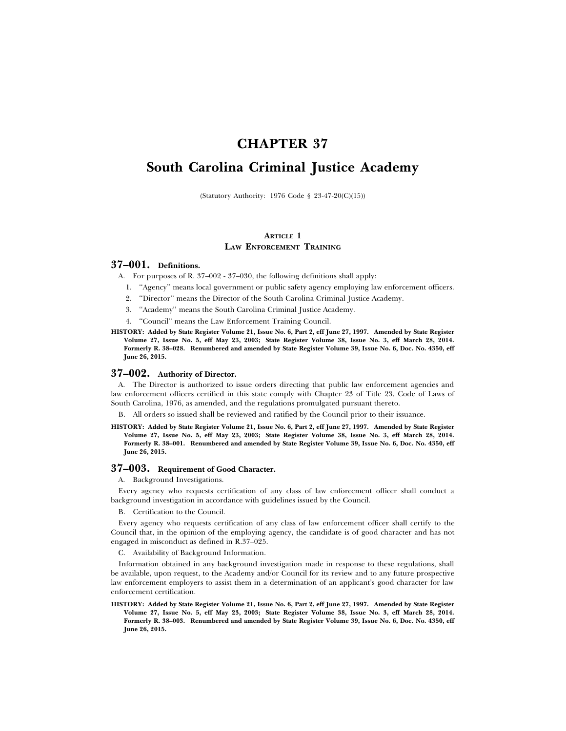# **CHAPTER 37 South Carolina Criminal Justice Academy**

(Statutory Authority: 1976 Code § 23-47-20(C)(15))

## **ARTICLE 1 LAW ENFORCEMENT TRAINING**

## **37–001. Definitions.**

A. For purposes of R. 37–002 - 37–030, the following definitions shall apply:

- 1. ''Agency'' means local government or public safety agency employing law enforcement officers.
- 2. ''Director'' means the Director of the South Carolina Criminal Justice Academy.
- 3. ''Academy'' means the South Carolina Criminal Justice Academy.

4. ''Council'' means the Law Enforcement Training Council.

**HISTORY: Added by State Register Volume 21, Issue No. 6, Part 2, eff June 27, 1997. Amended by State Register Volume 27, Issue No. 5, eff May 23, 2003; State Register Volume 38, Issue No. 3, eff March 28, 2014. Formerly R. 38–028. Renumbered and amended by State Register Volume 39, Issue No. 6, Doc. No. 4350, eff June 26, 2015.**

# **37–002. Authority of Director.**

A. The Director is authorized to issue orders directing that public law enforcement agencies and law enforcement officers certified in this state comply with Chapter 23 of Title 23, Code of Laws of South Carolina, 1976, as amended, and the regulations promulgated pursuant thereto.

B. All orders so issued shall be reviewed and ratified by the Council prior to their issuance.

**HISTORY: Added by State Register Volume 21, Issue No. 6, Part 2, eff June 27, 1997. Amended by State Register Volume 27, Issue No. 5, eff May 23, 2003; State Register Volume 38, Issue No. 3, eff March 28, 2014. Formerly R. 38–001. Renumbered and amended by State Register Volume 39, Issue No. 6, Doc. No. 4350, eff June 26, 2015.**

# **37–003. Requirement of Good Character.**

A. Background Investigations.

Every agency who requests certification of any class of law enforcement officer shall conduct a background investigation in accordance with guidelines issued by the Council.

B. Certification to the Council.

Every agency who requests certification of any class of law enforcement officer shall certify to the Council that, in the opinion of the employing agency, the candidate is of good character and has not engaged in misconduct as defined in R.37–025.

C. Availability of Background Information.

Information obtained in any background investigation made in response to these regulations, shall be available, upon request, to the Academy and/or Council for its review and to any future prospective law enforcement employers to assist them in a determination of an applicant's good character for law enforcement certification.

**HISTORY: Added by State Register Volume 21, Issue No. 6, Part 2, eff June 27, 1997. Amended by State Register Volume 27, Issue No. 5, eff May 23, 2003; State Register Volume 38, Issue No. 3, eff March 28, 2014. Formerly R. 38–003. Renumbered and amended by State Register Volume 39, Issue No. 6, Doc. No. 4350, eff June 26, 2015.**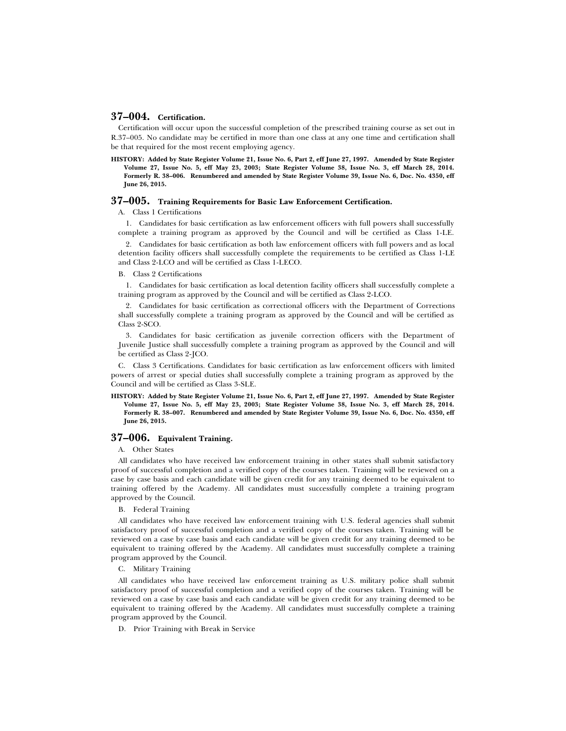# **37–004. Certification.**

Certification will occur upon the successful completion of the prescribed training course as set out in R.37–005. No candidate may be certified in more than one class at any one time and certification shall be that required for the most recent employing agency.

**HISTORY: Added by State Register Volume 21, Issue No. 6, Part 2, eff June 27, 1997. Amended by State Register Volume 27, Issue No. 5, eff May 23, 2003; State Register Volume 38, Issue No. 3, eff March 28, 2014. Formerly R. 38–006. Renumbered and amended by State Register Volume 39, Issue No. 6, Doc. No. 4350, eff June 26, 2015.**

# **37–005. Training Requirements for Basic Law Enforcement Certification.**

A. Class 1 Certifications

1. Candidates for basic certification as law enforcement officers with full powers shall successfully complete a training program as approved by the Council and will be certified as Class 1-LE.

2. Candidates for basic certification as both law enforcement officers with full powers and as local detention facility officers shall successfully complete the requirements to be certified as Class 1-LE and Class 2-LCO and will be certified as Class 1-LECO.

B. Class 2 Certifications

1. Candidates for basic certification as local detention facility officers shall successfully complete a training program as approved by the Council and will be certified as Class 2-LCO.

2. Candidates for basic certification as correctional officers with the Department of Corrections shall successfully complete a training program as approved by the Council and will be certified as Class 2-SCO.

3. Candidates for basic certification as juvenile correction officers with the Department of Juvenile Justice shall successfully complete a training program as approved by the Council and will be certified as Class 2-JCO.

C. Class 3 Certifications. Candidates for basic certification as law enforcement officers with limited powers of arrest or special duties shall successfully complete a training program as approved by the Council and will be certified as Class 3-SLE.

**HISTORY: Added by State Register Volume 21, Issue No. 6, Part 2, eff June 27, 1997. Amended by State Register Volume 27, Issue No. 5, eff May 23, 2003; State Register Volume 38, Issue No. 3, eff March 28, 2014. Formerly R. 38–007. Renumbered and amended by State Register Volume 39, Issue No. 6, Doc. No. 4350, eff June 26, 2015.**

# **37–006. Equivalent Training.**

A. Other States

All candidates who have received law enforcement training in other states shall submit satisfactory proof of successful completion and a verified copy of the courses taken. Training will be reviewed on a case by case basis and each candidate will be given credit for any training deemed to be equivalent to training offered by the Academy. All candidates must successfully complete a training program approved by the Council.

B. Federal Training

All candidates who have received law enforcement training with U.S. federal agencies shall submit satisfactory proof of successful completion and a verified copy of the courses taken. Training will be reviewed on a case by case basis and each candidate will be given credit for any training deemed to be equivalent to training offered by the Academy. All candidates must successfully complete a training program approved by the Council.

#### C. Military Training

All candidates who have received law enforcement training as U.S. military police shall submit satisfactory proof of successful completion and a verified copy of the courses taken. Training will be reviewed on a case by case basis and each candidate will be given credit for any training deemed to be equivalent to training offered by the Academy. All candidates must successfully complete a training program approved by the Council.

D. Prior Training with Break in Service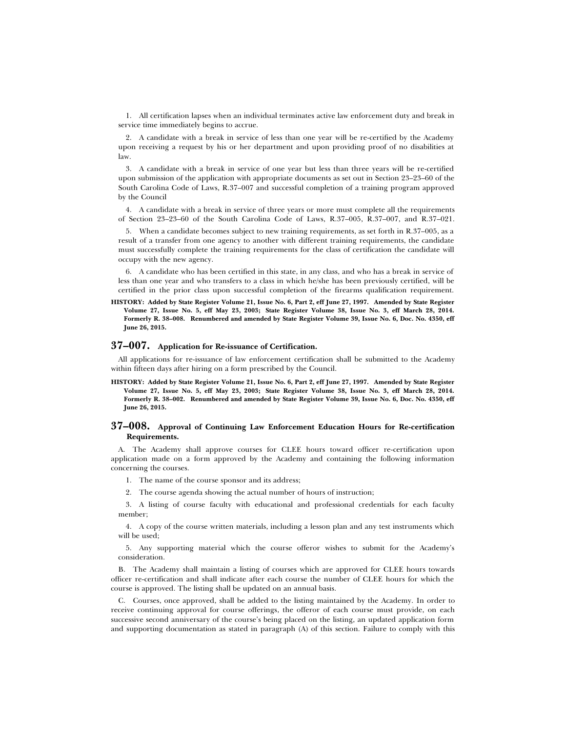1. All certification lapses when an individual terminates active law enforcement duty and break in service time immediately begins to accrue.

2. A candidate with a break in service of less than one year will be re-certified by the Academy upon receiving a request by his or her department and upon providing proof of no disabilities at law.

3. A candidate with a break in service of one year but less than three years will be re-certified upon submission of the application with appropriate documents as set out in Section 23–23–60 of the South Carolina Code of Laws, R.37–007 and successful completion of a training program approved by the Council

4. A candidate with a break in service of three years or more must complete all the requirements of Section 23–23–60 of the South Carolina Code of Laws, R.37–005, R.37–007, and R.37–021.

5. When a candidate becomes subject to new training requirements, as set forth in R.37–005, as a result of a transfer from one agency to another with different training requirements, the candidate must successfully complete the training requirements for the class of certification the candidate will occupy with the new agency.

6. A candidate who has been certified in this state, in any class, and who has a break in service of less than one year and who transfers to a class in which he/she has been previously certified, will be certified in the prior class upon successful completion of the firearms qualification requirement.

**HISTORY: Added by State Register Volume 21, Issue No. 6, Part 2, eff June 27, 1997. Amended by State Register Volume 27, Issue No. 5, eff May 23, 2003; State Register Volume 38, Issue No. 3, eff March 28, 2014. Formerly R. 38–008. Renumbered and amended by State Register Volume 39, Issue No. 6, Doc. No. 4350, eff June 26, 2015.**

## **37–007. Application for Re-issuance of Certification.**

All applications for re-issuance of law enforcement certification shall be submitted to the Academy within fifteen days after hiring on a form prescribed by the Council.

**HISTORY: Added by State Register Volume 21, Issue No. 6, Part 2, eff June 27, 1997. Amended by State Register Volume 27, Issue No. 5, eff May 23, 2003; State Register Volume 38, Issue No. 3, eff March 28, 2014. Formerly R. 38–002. Renumbered and amended by State Register Volume 39, Issue No. 6, Doc. No. 4350, eff June 26, 2015.**

## **37–008. Approval of Continuing Law Enforcement Education Hours for Re-certification Requirements.**

A. The Academy shall approve courses for CLEE hours toward officer re-certification upon application made on a form approved by the Academy and containing the following information concerning the courses.

- 1. The name of the course sponsor and its address;
- 2. The course agenda showing the actual number of hours of instruction;

3. A listing of course faculty with educational and professional credentials for each faculty member;

4. A copy of the course written materials, including a lesson plan and any test instruments which will be used;

5. Any supporting material which the course offeror wishes to submit for the Academy's consideration.

B. The Academy shall maintain a listing of courses which are approved for CLEE hours towards officer re-certification and shall indicate after each course the number of CLEE hours for which the course is approved. The listing shall be updated on an annual basis.

C. Courses, once approved, shall be added to the listing maintained by the Academy. In order to receive continuing approval for course offerings, the offeror of each course must provide, on each successive second anniversary of the course's being placed on the listing, an updated application form and supporting documentation as stated in paragraph (A) of this section. Failure to comply with this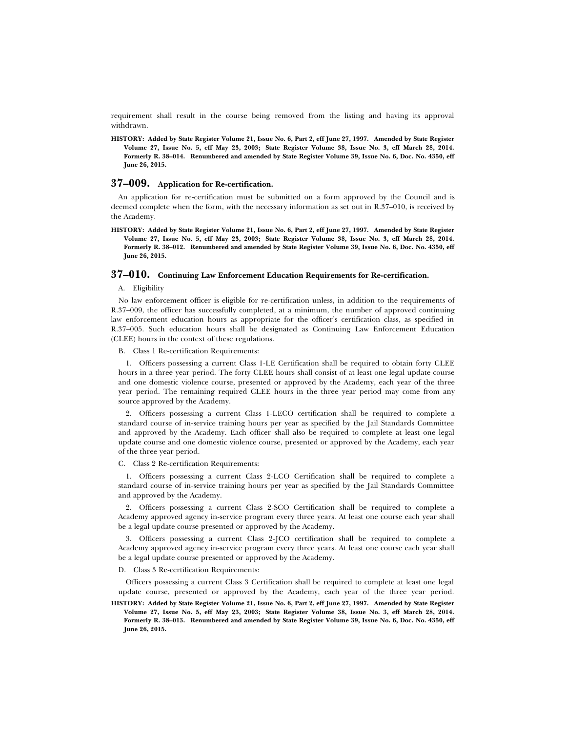requirement shall result in the course being removed from the listing and having its approval withdrawn.

**HISTORY: Added by State Register Volume 21, Issue No. 6, Part 2, eff June 27, 1997. Amended by State Register Volume 27, Issue No. 5, eff May 23, 2003; State Register Volume 38, Issue No. 3, eff March 28, 2014. Formerly R. 38–014. Renumbered and amended by State Register Volume 39, Issue No. 6, Doc. No. 4350, eff June 26, 2015.**

## **37–009. Application for Re-certification.**

An application for re-certification must be submitted on a form approved by the Council and is deemed complete when the form, with the necessary information as set out in R.37–010, is received by the Academy.

**HISTORY: Added by State Register Volume 21, Issue No. 6, Part 2, eff June 27, 1997. Amended by State Register Volume 27, Issue No. 5, eff May 23, 2003; State Register Volume 38, Issue No. 3, eff March 28, 2014. Formerly R. 38–012. Renumbered and amended by State Register Volume 39, Issue No. 6, Doc. No. 4350, eff June 26, 2015.**

# **37–010. Continuing Law Enforcement Education Requirements for Re-certification.**

A. Eligibility

No law enforcement officer is eligible for re-certification unless, in addition to the requirements of R.37–009, the officer has successfully completed, at a minimum, the number of approved continuing law enforcement education hours as appropriate for the officer's certification class, as specified in R.37–005. Such education hours shall be designated as Continuing Law Enforcement Education (CLEE) hours in the context of these regulations.

B. Class 1 Re-certification Requirements:

1. Officers possessing a current Class 1-LE Certification shall be required to obtain forty CLEE hours in a three year period. The forty CLEE hours shall consist of at least one legal update course and one domestic violence course, presented or approved by the Academy, each year of the three year period. The remaining required CLEE hours in the three year period may come from any source approved by the Academy.

2. Officers possessing a current Class 1-LECO certification shall be required to complete a standard course of in-service training hours per year as specified by the Jail Standards Committee and approved by the Academy. Each officer shall also be required to complete at least one legal update course and one domestic violence course, presented or approved by the Academy, each year of the three year period.

C. Class 2 Re-certification Requirements:

1. Officers possessing a current Class 2-LCO Certification shall be required to complete a standard course of in-service training hours per year as specified by the Jail Standards Committee and approved by the Academy.

2. Officers possessing a current Class 2-SCO Certification shall be required to complete a Academy approved agency in-service program every three years. At least one course each year shall be a legal update course presented or approved by the Academy.

3. Officers possessing a current Class 2-JCO certification shall be required to complete a Academy approved agency in-service program every three years. At least one course each year shall be a legal update course presented or approved by the Academy.

D. Class 3 Re-certification Requirements:

Officers possessing a current Class 3 Certification shall be required to complete at least one legal update course, presented or approved by the Academy, each year of the three year period.

**HISTORY: Added by State Register Volume 21, Issue No. 6, Part 2, eff June 27, 1997. Amended by State Register Volume 27, Issue No. 5, eff May 23, 2003; State Register Volume 38, Issue No. 3, eff March 28, 2014. Formerly R. 38–013. Renumbered and amended by State Register Volume 39, Issue No. 6, Doc. No. 4350, eff June 26, 2015.**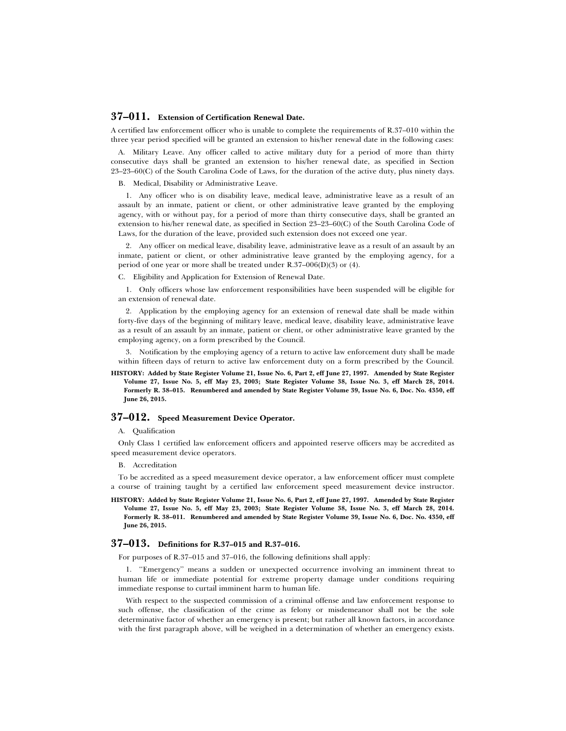# **37–011. Extension of Certification Renewal Date.**

A certified law enforcement officer who is unable to complete the requirements of R.37–010 within the three year period specified will be granted an extension to his/her renewal date in the following cases:

A. Military Leave. Any officer called to active military duty for a period of more than thirty consecutive days shall be granted an extension to his/her renewal date, as specified in Section 23–23–60(C) of the South Carolina Code of Laws, for the duration of the active duty, plus ninety days.

B. Medical, Disability or Administrative Leave.

1. Any officer who is on disability leave, medical leave, administrative leave as a result of an assault by an inmate, patient or client, or other administrative leave granted by the employing agency, with or without pay, for a period of more than thirty consecutive days, shall be granted an extension to his/her renewal date, as specified in Section 23–23–60(C) of the South Carolina Code of Laws, for the duration of the leave, provided such extension does not exceed one year.

2. Any officer on medical leave, disability leave, administrative leave as a result of an assault by an inmate, patient or client, or other administrative leave granted by the employing agency, for a period of one year or more shall be treated under R.37–006(D)(3) or (4).

C. Eligibility and Application for Extension of Renewal Date.

1. Only officers whose law enforcement responsibilities have been suspended will be eligible for an extension of renewal date.

2. Application by the employing agency for an extension of renewal date shall be made within forty-five days of the beginning of military leave, medical leave, disability leave, administrative leave as a result of an assault by an inmate, patient or client, or other administrative leave granted by the employing agency, on a form prescribed by the Council.

3. Notification by the employing agency of a return to active law enforcement duty shall be made within fifteen days of return to active law enforcement duty on a form prescribed by the Council.

**HISTORY: Added by State Register Volume 21, Issue No. 6, Part 2, eff June 27, 1997. Amended by State Register Volume 27, Issue No. 5, eff May 23, 2003; State Register Volume 38, Issue No. 3, eff March 28, 2014. Formerly R. 38–015. Renumbered and amended by State Register Volume 39, Issue No. 6, Doc. No. 4350, eff June 26, 2015.**

## **37–012. Speed Measurement Device Operator.**

A. Qualification

Only Class 1 certified law enforcement officers and appointed reserve officers may be accredited as speed measurement device operators.

B. Accreditation

To be accredited as a speed measurement device operator, a law enforcement officer must complete a course of training taught by a certified law enforcement speed measurement device instructor.

**HISTORY: Added by State Register Volume 21, Issue No. 6, Part 2, eff June 27, 1997. Amended by State Register Volume 27, Issue No. 5, eff May 23, 2003; State Register Volume 38, Issue No. 3, eff March 28, 2014. Formerly R. 38–011. Renumbered and amended by State Register Volume 39, Issue No. 6, Doc. No. 4350, eff June 26, 2015.**

## **37–013. Definitions for R.37–015 and R.37–016.**

For purposes of R.37–015 and 37–016, the following definitions shall apply:

1. ''Emergency'' means a sudden or unexpected occurrence involving an imminent threat to human life or immediate potential for extreme property damage under conditions requiring immediate response to curtail imminent harm to human life.

With respect to the suspected commission of a criminal offense and law enforcement response to such offense, the classification of the crime as felony or misdemeanor shall not be the sole determinative factor of whether an emergency is present; but rather all known factors, in accordance with the first paragraph above, will be weighed in a determination of whether an emergency exists.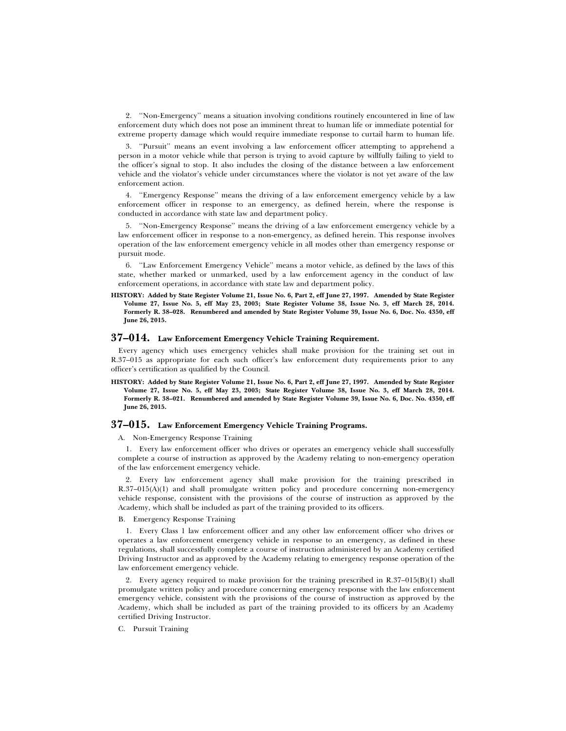2. ''Non-Emergency'' means a situation involving conditions routinely encountered in line of law enforcement duty which does not pose an imminent threat to human life or immediate potential for extreme property damage which would require immediate response to curtail harm to human life.

3. ''Pursuit'' means an event involving a law enforcement officer attempting to apprehend a person in a motor vehicle while that person is trying to avoid capture by willfully failing to yield to the officer's signal to stop. It also includes the closing of the distance between a law enforcement vehicle and the violator's vehicle under circumstances where the violator is not yet aware of the law enforcement action.

4. ''Emergency Response'' means the driving of a law enforcement emergency vehicle by a law enforcement officer in response to an emergency, as defined herein, where the response is conducted in accordance with state law and department policy.

5. ''Non-Emergency Response'' means the driving of a law enforcement emergency vehicle by a law enforcement officer in response to a non-emergency, as defined herein. This response involves operation of the law enforcement emergency vehicle in all modes other than emergency response or pursuit mode.

6. ''Law Enforcement Emergency Vehicle'' means a motor vehicle, as defined by the laws of this state, whether marked or unmarked, used by a law enforcement agency in the conduct of law enforcement operations, in accordance with state law and department policy.

**HISTORY: Added by State Register Volume 21, Issue No. 6, Part 2, eff June 27, 1997. Amended by State Register Volume 27, Issue No. 5, eff May 23, 2003; State Register Volume 38, Issue No. 3, eff March 28, 2014. Formerly R. 38–028. Renumbered and amended by State Register Volume 39, Issue No. 6, Doc. No. 4350, eff June 26, 2015.**

#### **37–014. Law Enforcement Emergency Vehicle Training Requirement.**

Every agency which uses emergency vehicles shall make provision for the training set out in R.37–015 as appropriate for each such officer's law enforcement duty requirements prior to any officer's certification as qualified by the Council.

**HISTORY: Added by State Register Volume 21, Issue No. 6, Part 2, eff June 27, 1997. Amended by State Register Volume 27, Issue No. 5, eff May 23, 2003; State Register Volume 38, Issue No. 3, eff March 28, 2014. Formerly R. 38–021. Renumbered and amended by State Register Volume 39, Issue No. 6, Doc. No. 4350, eff June 26, 2015.**

#### **37–015. Law Enforcement Emergency Vehicle Training Programs.**

A. Non-Emergency Response Training

1. Every law enforcement officer who drives or operates an emergency vehicle shall successfully complete a course of instruction as approved by the Academy relating to non-emergency operation of the law enforcement emergency vehicle.

2. Every law enforcement agency shall make provision for the training prescribed in R.37–015(A)(1) and shall promulgate written policy and procedure concerning non-emergency vehicle response, consistent with the provisions of the course of instruction as approved by the Academy, which shall be included as part of the training provided to its officers.

B. Emergency Response Training

1. Every Class 1 law enforcement officer and any other law enforcement officer who drives or operates a law enforcement emergency vehicle in response to an emergency, as defined in these regulations, shall successfully complete a course of instruction administered by an Academy certified Driving Instructor and as approved by the Academy relating to emergency response operation of the law enforcement emergency vehicle.

2. Every agency required to make provision for the training prescribed in R.37–015(B)(1) shall promulgate written policy and procedure concerning emergency response with the law enforcement emergency vehicle, consistent with the provisions of the course of instruction as approved by the Academy, which shall be included as part of the training provided to its officers by an Academy certified Driving Instructor.

C. Pursuit Training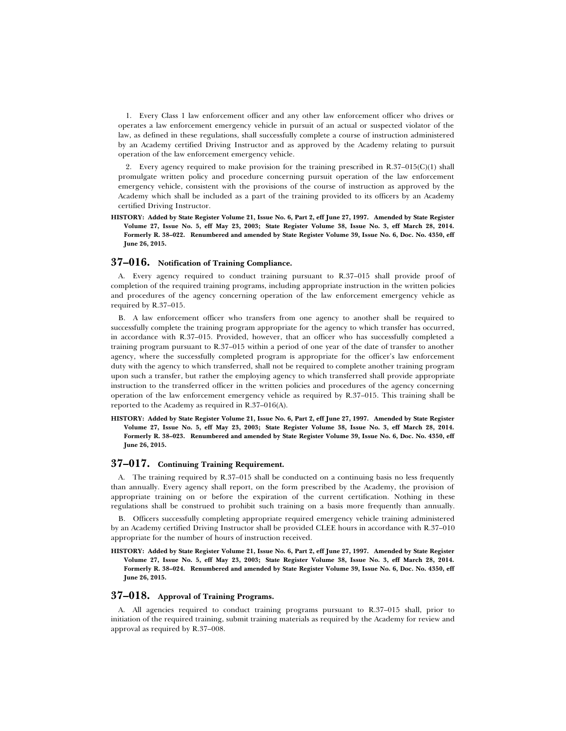1. Every Class 1 law enforcement officer and any other law enforcement officer who drives or operates a law enforcement emergency vehicle in pursuit of an actual or suspected violator of the law, as defined in these regulations, shall successfully complete a course of instruction administered by an Academy certified Driving Instructor and as approved by the Academy relating to pursuit operation of the law enforcement emergency vehicle.

2. Every agency required to make provision for the training prescribed in R.37–015(C)(1) shall promulgate written policy and procedure concerning pursuit operation of the law enforcement emergency vehicle, consistent with the provisions of the course of instruction as approved by the Academy which shall be included as a part of the training provided to its officers by an Academy certified Driving Instructor.

**HISTORY: Added by State Register Volume 21, Issue No. 6, Part 2, eff June 27, 1997. Amended by State Register Volume 27, Issue No. 5, eff May 23, 2003; State Register Volume 38, Issue No. 3, eff March 28, 2014. Formerly R. 38–022. Renumbered and amended by State Register Volume 39, Issue No. 6, Doc. No. 4350, eff June 26, 2015.**

#### **37–016. Notification of Training Compliance.**

A. Every agency required to conduct training pursuant to R.37–015 shall provide proof of completion of the required training programs, including appropriate instruction in the written policies and procedures of the agency concerning operation of the law enforcement emergency vehicle as required by R.37–015.

B. A law enforcement officer who transfers from one agency to another shall be required to successfully complete the training program appropriate for the agency to which transfer has occurred, in accordance with R.37–015. Provided, however, that an officer who has successfully completed a training program pursuant to R.37–015 within a period of one year of the date of transfer to another agency, where the successfully completed program is appropriate for the officer's law enforcement duty with the agency to which transferred, shall not be required to complete another training program upon such a transfer, but rather the employing agency to which transferred shall provide appropriate instruction to the transferred officer in the written policies and procedures of the agency concerning operation of the law enforcement emergency vehicle as required by R.37–015. This training shall be reported to the Academy as required in R.37–016(A).

**HISTORY: Added by State Register Volume 21, Issue No. 6, Part 2, eff June 27, 1997. Amended by State Register Volume 27, Issue No. 5, eff May 23, 2003; State Register Volume 38, Issue No. 3, eff March 28, 2014. Formerly R. 38–023. Renumbered and amended by State Register Volume 39, Issue No. 6, Doc. No. 4350, eff June 26, 2015.**

#### **37–017. Continuing Training Requirement.**

A. The training required by R.37–015 shall be conducted on a continuing basis no less frequently than annually. Every agency shall report, on the form prescribed by the Academy, the provision of appropriate training on or before the expiration of the current certification. Nothing in these regulations shall be construed to prohibit such training on a basis more frequently than annually.

B. Officers successfully completing appropriate required emergency vehicle training administered by an Academy certified Driving Instructor shall be provided CLEE hours in accordance with R.37–010 appropriate for the number of hours of instruction received.

**HISTORY: Added by State Register Volume 21, Issue No. 6, Part 2, eff June 27, 1997. Amended by State Register Volume 27, Issue No. 5, eff May 23, 2003; State Register Volume 38, Issue No. 3, eff March 28, 2014. Formerly R. 38–024. Renumbered and amended by State Register Volume 39, Issue No. 6, Doc. No. 4350, eff June 26, 2015.**

# **37–018. Approval of Training Programs.**

A. All agencies required to conduct training programs pursuant to R.37–015 shall, prior to initiation of the required training, submit training materials as required by the Academy for review and approval as required by R.37–008.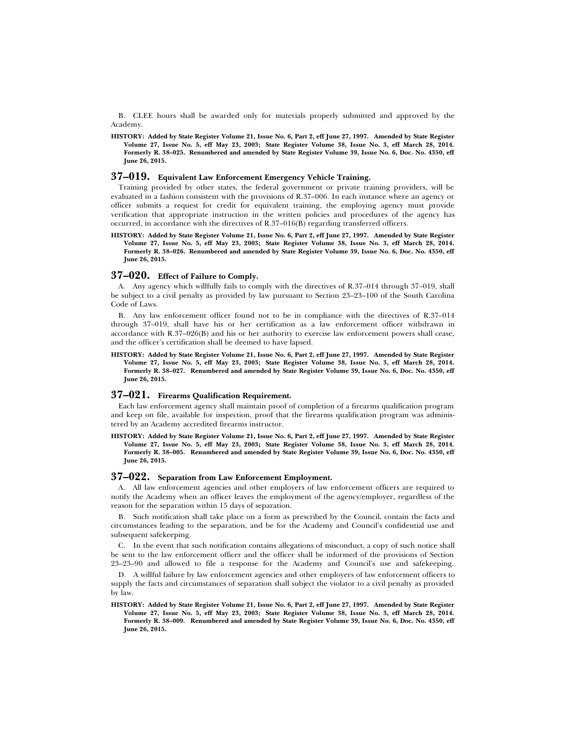B. CLEE hours shall be awarded only for materials properly submitted and approved by the Academy.

**HISTORY: Added by State Register Volume 21, Issue No. 6, Part 2, eff June 27, 1997. Amended by State Register Volume 27, Issue No. 5, eff May 23, 2003; State Register Volume 38, Issue No. 3, eff March 28, 2014. Formerly R. 38–025. Renumbered and amended by State Register Volume 39, Issue No. 6, Doc. No. 4350, eff June 26, 2015.**

# **37–019. Equivalent Law Enforcement Emergency Vehicle Training.**

Training provided by other states, the federal government or private training providers, will be evaluated in a fashion consistent with the provisions of R.37–006. In each instance where an agency or officer submits a request for credit for equivalent training, the employing agency must provide verification that appropriate instruction in the written policies and procedures of the agency has occurred, in accordance with the directives of R.37–016(B) regarding transferred officers.

**HISTORY: Added by State Register Volume 21, Issue No. 6, Part 2, eff June 27, 1997. Amended by State Register Volume 27, Issue No. 5, eff May 23, 2003; State Register Volume 38, Issue No. 3, eff March 28, 2014. Formerly R. 38–026. Renumbered and amended by State Register Volume 39, Issue No. 6, Doc. No. 4350, eff June 26, 2015.**

#### **37–020. Effect of Failure to Comply.**

A. Any agency which willfully fails to comply with the directives of R.37–014 through 37–019, shall be subject to a civil penalty as provided by law pursuant to Section 23–23–100 of the South Carolina Code of Laws.

B. Any law enforcement officer found not to be in compliance with the directives of R.37–014 through 37–019, shall have his or her certification as a law enforcement officer withdrawn in accordance with R.37–026(B) and his or her authority to exercise law enforcement powers shall cease, and the officer's certification shall be deemed to have lapsed.

**HISTORY: Added by State Register Volume 21, Issue No. 6, Part 2, eff June 27, 1997. Amended by State Register Volume 27, Issue No. 5, eff May 23, 2003; State Register Volume 38, Issue No. 3, eff March 28, 2014. Formerly R. 38–027. Renumbered and amended by State Register Volume 39, Issue No. 6, Doc. No. 4350, eff June 26, 2015.**

## **37–021. Firearms Qualification Requirement.**

Each law enforcement agency shall maintain proof of completion of a firearms qualification program and keep on file, available for inspection, proof that the firearms qualification program was administered by an Academy accredited firearms instructor.

**HISTORY: Added by State Register Volume 21, Issue No. 6, Part 2, eff June 27, 1997. Amended by State Register Volume 27, Issue No. 5, eff May 23, 2003; State Register Volume 38, Issue No. 3, eff March 28, 2014. Formerly R. 38–005. Renumbered and amended by State Register Volume 39, Issue No. 6, Doc. No. 4350, eff June 26, 2015.**

#### **37–022. Separation from Law Enforcement Employment.**

A. All law enforcement agencies and other employers of law enforcement officers are required to notify the Academy when an officer leaves the employment of the agency/employer, regardless of the reason for the separation within 15 days of separation.

B. Such notification shall take place on a form as prescribed by the Council, contain the facts and circumstances leading to the separation, and be for the Academy and Council's confidential use and subsequent safekeeping.

C. In the event that such notification contains allegations of misconduct, a copy of such notice shall be sent to the law enforcement officer and the officer shall be informed of the provisions of Section 23–23–90 and allowed to file a response for the Academy and Council's use and safekeeping.

D. A willful failure by law enforcement agencies and other employers of law enforcement officers to supply the facts and circumstances of separation shall subject the violator to a civil penalty as provided by law.

**HISTORY: Added by State Register Volume 21, Issue No. 6, Part 2, eff June 27, 1997. Amended by State Register Volume 27, Issue No. 5, eff May 23, 2003; State Register Volume 38, Issue No. 3, eff March 28, 2014. Formerly R. 38–009. Renumbered and amended by State Register Volume 39, Issue No. 6, Doc. No. 4350, eff June 26, 2015.**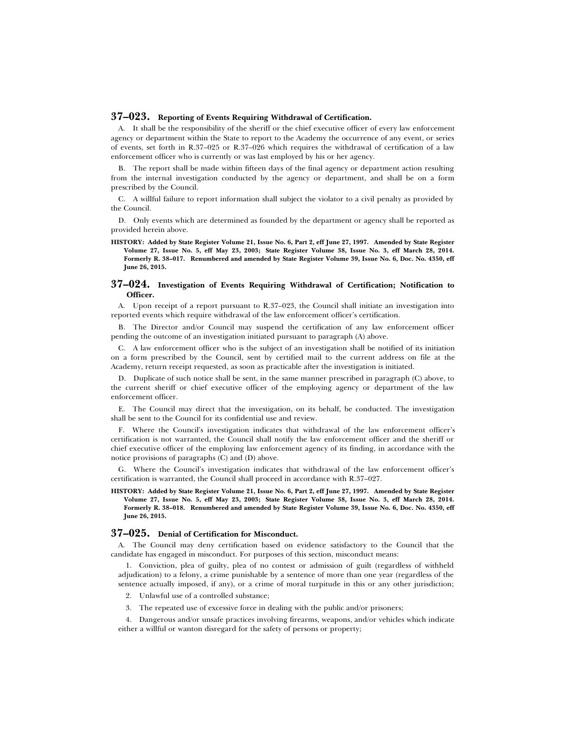#### **37–023. Reporting of Events Requiring Withdrawal of Certification.**

A. It shall be the responsibility of the sheriff or the chief executive officer of every law enforcement agency or department within the State to report to the Academy the occurrence of any event, or series of events, set forth in R.37–025 or R.37–026 which requires the withdrawal of certification of a law enforcement officer who is currently or was last employed by his or her agency.

B. The report shall be made within fifteen days of the final agency or department action resulting from the internal investigation conducted by the agency or department, and shall be on a form prescribed by the Council.

C. A willful failure to report information shall subject the violator to a civil penalty as provided by the Council.

D. Only events which are determined as founded by the department or agency shall be reported as provided herein above.

**HISTORY: Added by State Register Volume 21, Issue No. 6, Part 2, eff June 27, 1997. Amended by State Register Volume 27, Issue No. 5, eff May 23, 2003; State Register Volume 38, Issue No. 3, eff March 28, 2014. Formerly R. 38–017. Renumbered and amended by State Register Volume 39, Issue No. 6, Doc. No. 4350, eff June 26, 2015.**

#### **37–024. Investigation of Events Requiring Withdrawal of Certification; Notification to Officer.**

A. Upon receipt of a report pursuant to R.37–023, the Council shall initiate an investigation into reported events which require withdrawal of the law enforcement officer's certification.

B. The Director and/or Council may suspend the certification of any law enforcement officer pending the outcome of an investigation initiated pursuant to paragraph (A) above.

C. A law enforcement officer who is the subject of an investigation shall be notified of its initiation on a form prescribed by the Council, sent by certified mail to the current address on file at the Academy, return receipt requested, as soon as practicable after the investigation is initiated.

D. Duplicate of such notice shall be sent, in the same manner prescribed in paragraph (C) above, to the current sheriff or chief executive officer of the employing agency or department of the law enforcement officer.

E. The Council may direct that the investigation, on its behalf, be conducted. The investigation shall be sent to the Council for its confidential use and review.

F. Where the Council's investigation indicates that withdrawal of the law enforcement officer's certification is not warranted, the Council shall notify the law enforcement officer and the sheriff or chief executive officer of the employing law enforcement agency of its finding, in accordance with the notice provisions of paragraphs (C) and (D) above.

G. Where the Council's investigation indicates that withdrawal of the law enforcement officer's certification is warranted, the Council shall proceed in accordance with R.37–027.

**HISTORY: Added by State Register Volume 21, Issue No. 6, Part 2, eff June 27, 1997. Amended by State Register Volume 27, Issue No. 5, eff May 23, 2003; State Register Volume 38, Issue No. 3, eff March 28, 2014. Formerly R. 38–018. Renumbered and amended by State Register Volume 39, Issue No. 6, Doc. No. 4350, eff June 26, 2015.**

# **37–025. Denial of Certification for Misconduct.**

A. The Council may deny certification based on evidence satisfactory to the Council that the candidate has engaged in misconduct. For purposes of this section, misconduct means:

1. Conviction, plea of guilty, plea of no contest or admission of guilt (regardless of withheld adjudication) to a felony, a crime punishable by a sentence of more than one year (regardless of the sentence actually imposed, if any), or a crime of moral turpitude in this or any other jurisdiction;

2. Unlawful use of a controlled substance;

3. The repeated use of excessive force in dealing with the public and/or prisoners;

4. Dangerous and/or unsafe practices involving firearms, weapons, and/or vehicles which indicate either a willful or wanton disregard for the safety of persons or property;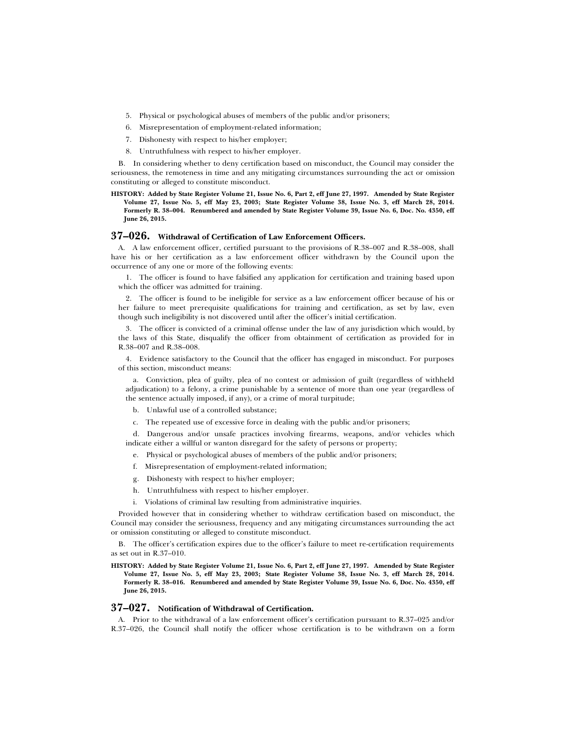- 5. Physical or psychological abuses of members of the public and/or prisoners;
- 6. Misrepresentation of employment-related information;
- 7. Dishonesty with respect to his/her employer;
- 8. Untruthfulness with respect to his/her employer.

B. In considering whether to deny certification based on misconduct, the Council may consider the seriousness, the remoteness in time and any mitigating circumstances surrounding the act or omission constituting or alleged to constitute misconduct.

**HISTORY: Added by State Register Volume 21, Issue No. 6, Part 2, eff June 27, 1997. Amended by State Register Volume 27, Issue No. 5, eff May 23, 2003; State Register Volume 38, Issue No. 3, eff March 28, 2014. Formerly R. 38–004. Renumbered and amended by State Register Volume 39, Issue No. 6, Doc. No. 4350, eff June 26, 2015.**

# **37–026. Withdrawal of Certification of Law Enforcement Officers.**

A. A law enforcement officer, certified pursuant to the provisions of R.38–007 and R.38–008, shall have his or her certification as a law enforcement officer withdrawn by the Council upon the occurrence of any one or more of the following events:

1. The officer is found to have falsified any application for certification and training based upon which the officer was admitted for training.

2. The officer is found to be ineligible for service as a law enforcement officer because of his or her failure to meet prerequisite qualifications for training and certification, as set by law, even though such ineligibility is not discovered until after the officer's initial certification.

3. The officer is convicted of a criminal offense under the law of any jurisdiction which would, by the laws of this State, disqualify the officer from obtainment of certification as provided for in R.38–007 and R.38–008.

4. Evidence satisfactory to the Council that the officer has engaged in misconduct. For purposes of this section, misconduct means:

a. Conviction, plea of guilty, plea of no contest or admission of guilt (regardless of withheld adjudication) to a felony, a crime punishable by a sentence of more than one year (regardless of the sentence actually imposed, if any), or a crime of moral turpitude;

b. Unlawful use of a controlled substance;

c. The repeated use of excessive force in dealing with the public and/or prisoners;

d. Dangerous and/or unsafe practices involving firearms, weapons, and/or vehicles which indicate either a willful or wanton disregard for the safety of persons or property;

- e. Physical or psychological abuses of members of the public and/or prisoners;
- f. Misrepresentation of employment-related information;
- g. Dishonesty with respect to his/her employer;
- h. Untruthfulness with respect to his/her employer.
- i. Violations of criminal law resulting from administrative inquiries.

Provided however that in considering whether to withdraw certification based on misconduct, the Council may consider the seriousness, frequency and any mitigating circumstances surrounding the act or omission constituting or alleged to constitute misconduct.

B. The officer's certification expires due to the officer's failure to meet re-certification requirements as set out in R.37–010.

#### **HISTORY: Added by State Register Volume 21, Issue No. 6, Part 2, eff June 27, 1997. Amended by State Register Volume 27, Issue No. 5, eff May 23, 2003; State Register Volume 38, Issue No. 3, eff March 28, 2014. Formerly R. 38–016. Renumbered and amended by State Register Volume 39, Issue No. 6, Doc. No. 4350, eff June 26, 2015.**

# **37–027. Notification of Withdrawal of Certification.**

A. Prior to the withdrawal of a law enforcement officer's certification pursuant to R.37–025 and/or R.37–026, the Council shall notify the officer whose certification is to be withdrawn on a form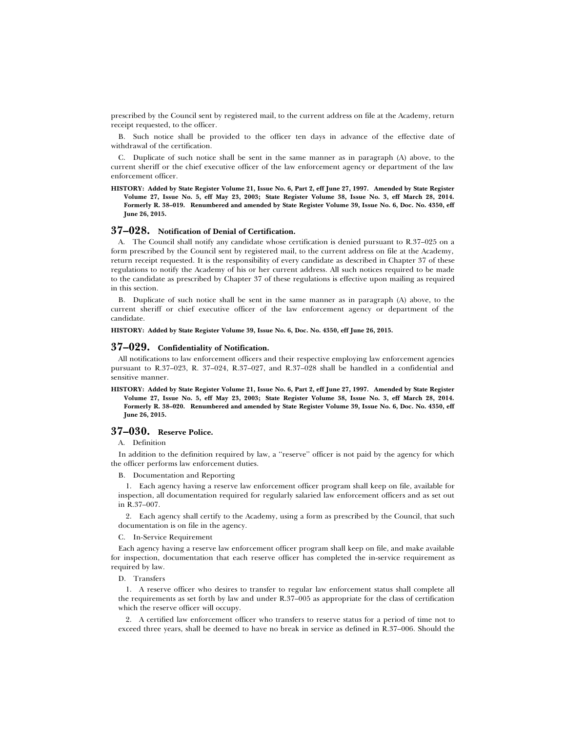prescribed by the Council sent by registered mail, to the current address on file at the Academy, return receipt requested, to the officer.

B. Such notice shall be provided to the officer ten days in advance of the effective date of withdrawal of the certification.

C. Duplicate of such notice shall be sent in the same manner as in paragraph (A) above, to the current sheriff or the chief executive officer of the law enforcement agency or department of the law enforcement officer.

**HISTORY: Added by State Register Volume 21, Issue No. 6, Part 2, eff June 27, 1997. Amended by State Register Volume 27, Issue No. 5, eff May 23, 2003; State Register Volume 38, Issue No. 3, eff March 28, 2014. Formerly R. 38–019. Renumbered and amended by State Register Volume 39, Issue No. 6, Doc. No. 4350, eff June 26, 2015.**

# **37–028. Notification of Denial of Certification.**

A. The Council shall notify any candidate whose certification is denied pursuant to R.37–025 on a form prescribed by the Council sent by registered mail, to the current address on file at the Academy, return receipt requested. It is the responsibility of every candidate as described in Chapter 37 of these regulations to notify the Academy of his or her current address. All such notices required to be made to the candidate as prescribed by Chapter 37 of these regulations is effective upon mailing as required in this section.

B. Duplicate of such notice shall be sent in the same manner as in paragraph (A) above, to the current sheriff or chief executive officer of the law enforcement agency or department of the candidate.

**HISTORY: Added by State Register Volume 39, Issue No. 6, Doc. No. 4350, eff June 26, 2015.**

#### **37–029. Confidentiality of Notification.**

All notifications to law enforcement officers and their respective employing law enforcement agencies pursuant to R.37–023, R. 37–024, R.37–027, and R.37–028 shall be handled in a confidential and sensitive manner.

**HISTORY: Added by State Register Volume 21, Issue No. 6, Part 2, eff June 27, 1997. Amended by State Register Volume 27, Issue No. 5, eff May 23, 2003; State Register Volume 38, Issue No. 3, eff March 28, 2014. Formerly R. 38–020. Renumbered and amended by State Register Volume 39, Issue No. 6, Doc. No. 4350, eff June 26, 2015.**

# **37–030. Reserve Police.**

A. Definition

In addition to the definition required by law, a ''reserve'' officer is not paid by the agency for which the officer performs law enforcement duties.

B. Documentation and Reporting

1. Each agency having a reserve law enforcement officer program shall keep on file, available for inspection, all documentation required for regularly salaried law enforcement officers and as set out in R.37–007.

2. Each agency shall certify to the Academy, using a form as prescribed by the Council, that such documentation is on file in the agency.

C. In-Service Requirement

Each agency having a reserve law enforcement officer program shall keep on file, and make available for inspection, documentation that each reserve officer has completed the in-service requirement as required by law.

D. Transfers

1. A reserve officer who desires to transfer to regular law enforcement status shall complete all the requirements as set forth by law and under R.37–005 as appropriate for the class of certification which the reserve officer will occupy.

2. A certified law enforcement officer who transfers to reserve status for a period of time not to exceed three years, shall be deemed to have no break in service as defined in R.37–006. Should the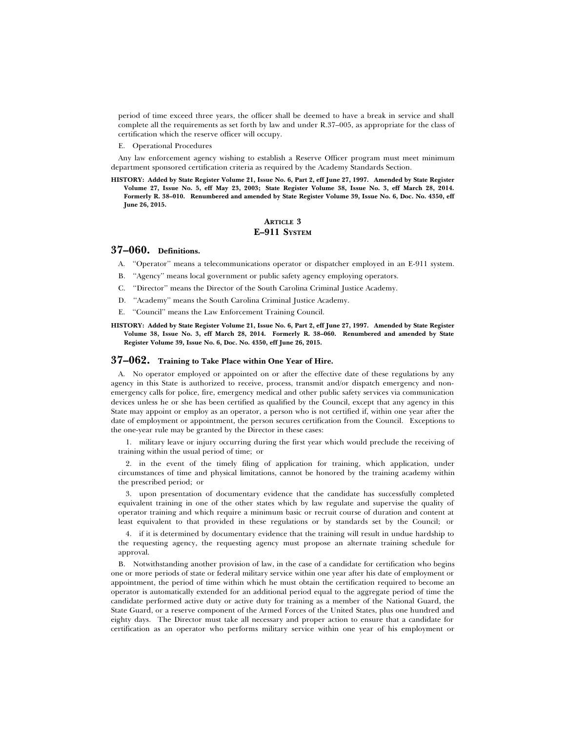period of time exceed three years, the officer shall be deemed to have a break in service and shall complete all the requirements as set forth by law and under R.37–005, as appropriate for the class of certification which the reserve officer will occupy.

#### E. Operational Procedures

Any law enforcement agency wishing to establish a Reserve Officer program must meet minimum department sponsored certification criteria as required by the Academy Standards Section.

**HISTORY: Added by State Register Volume 21, Issue No. 6, Part 2, eff June 27, 1997. Amended by State Register Volume 27, Issue No. 5, eff May 23, 2003; State Register Volume 38, Issue No. 3, eff March 28, 2014. Formerly R. 38–010. Renumbered and amended by State Register Volume 39, Issue No. 6, Doc. No. 4350, eff June 26, 2015.**

## **ARTICLE 3 E–911 SYSTEM**

## **37–060. Definitions.**

- A. ''Operator'' means a telecommunications operator or dispatcher employed in an E-911 system.
- B. ''Agency'' means local government or public safety agency employing operators.
- C. ''Director'' means the Director of the South Carolina Criminal Justice Academy.
- D. ''Academy'' means the South Carolina Criminal Justice Academy.
- E. ''Council'' means the Law Enforcement Training Council.

**HISTORY: Added by State Register Volume 21, Issue No. 6, Part 2, eff June 27, 1997. Amended by State Register Volume 38, Issue No. 3, eff March 28, 2014. Formerly R. 38–060. Renumbered and amended by State Register Volume 39, Issue No. 6, Doc. No. 4350, eff June 26, 2015.**

# **37–062. Training to Take Place within One Year of Hire.**

A. No operator employed or appointed on or after the effective date of these regulations by any agency in this State is authorized to receive, process, transmit and/or dispatch emergency and nonemergency calls for police, fire, emergency medical and other public safety services via communication devices unless he or she has been certified as qualified by the Council, except that any agency in this State may appoint or employ as an operator, a person who is not certified if, within one year after the date of employment or appointment, the person secures certification from the Council. Exceptions to the one-year rule may be granted by the Director in these cases:

1. military leave or injury occurring during the first year which would preclude the receiving of training within the usual period of time; or

2. in the event of the timely filing of application for training, which application, under circumstances of time and physical limitations, cannot be honored by the training academy within the prescribed period; or

3. upon presentation of documentary evidence that the candidate has successfully completed equivalent training in one of the other states which by law regulate and supervise the quality of operator training and which require a minimum basic or recruit course of duration and content at least equivalent to that provided in these regulations or by standards set by the Council; or

4. if it is determined by documentary evidence that the training will result in undue hardship to the requesting agency, the requesting agency must propose an alternate training schedule for approval.

B. Notwithstanding another provision of law, in the case of a candidate for certification who begins one or more periods of state or federal military service within one year after his date of employment or appointment, the period of time within which he must obtain the certification required to become an operator is automatically extended for an additional period equal to the aggregate period of time the candidate performed active duty or active duty for training as a member of the National Guard, the State Guard, or a reserve component of the Armed Forces of the United States, plus one hundred and eighty days. The Director must take all necessary and proper action to ensure that a candidate for certification as an operator who performs military service within one year of his employment or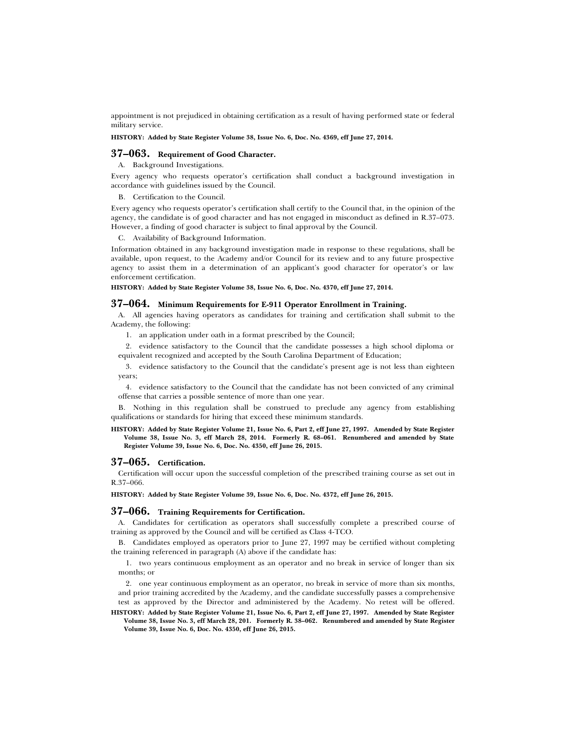appointment is not prejudiced in obtaining certification as a result of having performed state or federal military service.

#### **HISTORY: Added by State Register Volume 38, Issue No. 6, Doc. No. 4369, eff June 27, 2014.**

## **37–063. Requirement of Good Character.**

A. Background Investigations.

Every agency who requests operator's certification shall conduct a background investigation in accordance with guidelines issued by the Council.

B. Certification to the Council.

Every agency who requests operator's certification shall certify to the Council that, in the opinion of the agency, the candidate is of good character and has not engaged in misconduct as defined in R.37–073. However, a finding of good character is subject to final approval by the Council.

C. Availability of Background Information.

Information obtained in any background investigation made in response to these regulations, shall be available, upon request, to the Academy and/or Council for its review and to any future prospective agency to assist them in a determination of an applicant's good character for operator's or law enforcement certification.

**HISTORY: Added by State Register Volume 38, Issue No. 6, Doc. No. 4370, eff June 27, 2014.**

#### **37–064. Minimum Requirements for E-911 Operator Enrollment in Training.**

A. All agencies having operators as candidates for training and certification shall submit to the Academy, the following:

1. an application under oath in a format prescribed by the Council;

2. evidence satisfactory to the Council that the candidate possesses a high school diploma or equivalent recognized and accepted by the South Carolina Department of Education;

3. evidence satisfactory to the Council that the candidate's present age is not less than eighteen years;

4. evidence satisfactory to the Council that the candidate has not been convicted of any criminal offense that carries a possible sentence of more than one year.

B. Nothing in this regulation shall be construed to preclude any agency from establishing qualifications or standards for hiring that exceed these minimum standards.

#### **HISTORY: Added by State Register Volume 21, Issue No. 6, Part 2, eff June 27, 1997. Amended by State Register Volume 38, Issue No. 3, eff March 28, 2014. Formerly R. 68–061. Renumbered and amended by State Register Volume 39, Issue No. 6, Doc. No. 4350, eff June 26, 2015.**

# **37–065. Certification.**

Certification will occur upon the successful completion of the prescribed training course as set out in R.37–066.

**HISTORY: Added by State Register Volume 39, Issue No. 6, Doc. No. 4372, eff June 26, 2015.**

#### **37–066. Training Requirements for Certification.**

A. Candidates for certification as operators shall successfully complete a prescribed course of training as approved by the Council and will be certified as Class 4-TCO.

B. Candidates employed as operators prior to June 27, 1997 may be certified without completing the training referenced in paragraph (A) above if the candidate has:

1. two years continuous employment as an operator and no break in service of longer than six months; or

2. one year continuous employment as an operator, no break in service of more than six months, and prior training accredited by the Academy, and the candidate successfully passes a comprehensive test as approved by the Director and administered by the Academy. No retest will be offered.

#### **HISTORY: Added by State Register Volume 21, Issue No. 6, Part 2, eff June 27, 1997. Amended by State Register Volume 38, Issue No. 3, eff March 28, 201. Formerly R. 38–062. Renumbered and amended by State Register Volume 39, Issue No. 6, Doc. No. 4350, eff June 26, 2015.**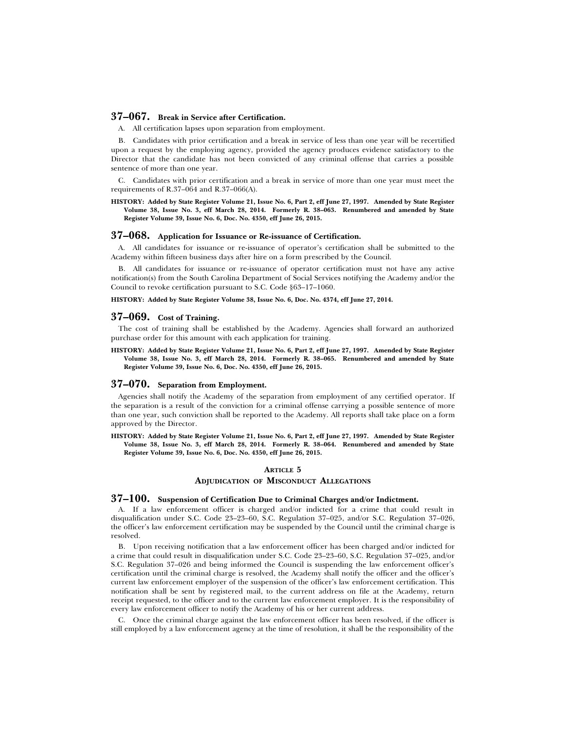# **37–067. Break in Service after Certification.**

A. All certification lapses upon separation from employment.

B. Candidates with prior certification and a break in service of less than one year will be recertified upon a request by the employing agency, provided the agency produces evidence satisfactory to the Director that the candidate has not been convicted of any criminal offense that carries a possible sentence of more than one year.

C. Candidates with prior certification and a break in service of more than one year must meet the requirements of R.37–064 and R.37–066(A).

**HISTORY: Added by State Register Volume 21, Issue No. 6, Part 2, eff June 27, 1997. Amended by State Register Volume 38, Issue No. 3, eff March 28, 2014. Formerly R. 38–063. Renumbered and amended by State Register Volume 39, Issue No. 6, Doc. No. 4350, eff June 26, 2015.**

#### **37–068. Application for Issuance or Re-issuance of Certification.**

A. All candidates for issuance or re-issuance of operator's certification shall be submitted to the Academy within fifteen business days after hire on a form prescribed by the Council.

B. All candidates for issuance or re-issuance of operator certification must not have any active notification(s) from the South Carolina Department of Social Services notifying the Academy and/or the Council to revoke certification pursuant to S.C. Code §63–17–1060.

**HISTORY: Added by State Register Volume 38, Issue No. 6, Doc. No. 4374, eff June 27, 2014.**

#### **37–069. Cost of Training.**

The cost of training shall be established by the Academy. Agencies shall forward an authorized purchase order for this amount with each application for training.

**HISTORY: Added by State Register Volume 21, Issue No. 6, Part 2, eff June 27, 1997. Amended by State Register Volume 38, Issue No. 3, eff March 28, 2014. Formerly R. 38–065. Renumbered and amended by State Register Volume 39, Issue No. 6, Doc. No. 4350, eff June 26, 2015.**

# **37–070. Separation from Employment.**

Agencies shall notify the Academy of the separation from employment of any certified operator. If the separation is a result of the conviction for a criminal offense carrying a possible sentence of more than one year, such conviction shall be reported to the Academy. All reports shall take place on a form approved by the Director.

**HISTORY: Added by State Register Volume 21, Issue No. 6, Part 2, eff June 27, 1997. Amended by State Register Volume 38, Issue No. 3, eff March 28, 2014. Formerly R. 38–064. Renumbered and amended by State Register Volume 39, Issue No. 6, Doc. No. 4350, eff June 26, 2015.**

#### **ARTICLE 5**

#### **ADJUDICATION OF MISCONDUCT ALLEGATIONS**

## **37–100. Suspension of Certification Due to Criminal Charges and/or Indictment.**

A. If a law enforcement officer is charged and/or indicted for a crime that could result in disqualification under S.C. Code 23–23–60, S.C. Regulation 37–025, and/or S.C. Regulation 37–026, the officer's law enforcement certification may be suspended by the Council until the criminal charge is resolved.

B. Upon receiving notification that a law enforcement officer has been charged and/or indicted for a crime that could result in disqualification under S.C. Code 23–23–60, S.C. Regulation 37–025, and/or S.C. Regulation 37–026 and being informed the Council is suspending the law enforcement officer's certification until the criminal charge is resolved, the Academy shall notify the officer and the officer's current law enforcement employer of the suspension of the officer's law enforcement certification. This notification shall be sent by registered mail, to the current address on file at the Academy, return receipt requested, to the officer and to the current law enforcement employer. It is the responsibility of every law enforcement officer to notify the Academy of his or her current address.

C. Once the criminal charge against the law enforcement officer has been resolved, if the officer is still employed by a law enforcement agency at the time of resolution, it shall be the responsibility of the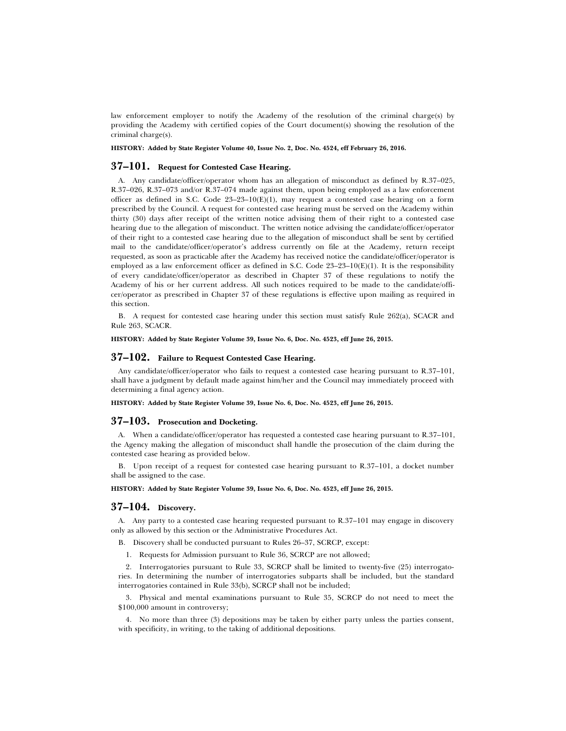law enforcement employer to notify the Academy of the resolution of the criminal charge(s) by providing the Academy with certified copies of the Court document(s) showing the resolution of the criminal charge(s).

**HISTORY: Added by State Register Volume 40, Issue No. 2, Doc. No. 4524, eff February 26, 2016.**

#### **37–101. Request for Contested Case Hearing.**

A. Any candidate/officer/operator whom has an allegation of misconduct as defined by R.37–025, R.37–026, R.37–073 and/or R.37–074 made against them, upon being employed as a law enforcement officer as defined in S.C. Code  $23-23-10(E)(1)$ , may request a contested case hearing on a form prescribed by the Council. A request for contested case hearing must be served on the Academy within thirty (30) days after receipt of the written notice advising them of their right to a contested case hearing due to the allegation of misconduct. The written notice advising the candidate/officer/operator of their right to a contested case hearing due to the allegation of misconduct shall be sent by certified mail to the candidate/officer/operator's address currently on file at the Academy, return receipt requested, as soon as practicable after the Academy has received notice the candidate/officer/operator is employed as a law enforcement officer as defined in S.C. Code  $23-23-10(E)(1)$ . It is the responsibility of every candidate/officer/operator as described in Chapter 37 of these regulations to notify the Academy of his or her current address. All such notices required to be made to the candidate/officer/operator as prescribed in Chapter 37 of these regulations is effective upon mailing as required in this section.

B. A request for contested case hearing under this section must satisfy Rule 262(a), SCACR and Rule 263, SCACR.

**HISTORY: Added by State Register Volume 39, Issue No. 6, Doc. No. 4523, eff June 26, 2015.**

#### **37–102. Failure to Request Contested Case Hearing.**

Any candidate/officer/operator who fails to request a contested case hearing pursuant to R.37–101, shall have a judgment by default made against him/her and the Council may immediately proceed with determining a final agency action.

**HISTORY: Added by State Register Volume 39, Issue No. 6, Doc. No. 4523, eff June 26, 2015.**

# **37–103. Prosecution and Docketing.**

A. When a candidate/officer/operator has requested a contested case hearing pursuant to R.37–101, the Agency making the allegation of misconduct shall handle the prosecution of the claim during the contested case hearing as provided below.

B. Upon receipt of a request for contested case hearing pursuant to R.37–101, a docket number shall be assigned to the case.

**HISTORY: Added by State Register Volume 39, Issue No. 6, Doc. No. 4523, eff June 26, 2015.**

#### **37–104. Discovery.**

A. Any party to a contested case hearing requested pursuant to R.37–101 may engage in discovery only as allowed by this section or the Administrative Procedures Act.

B. Discovery shall be conducted pursuant to Rules 26–37, SCRCP, except:

1. Requests for Admission pursuant to Rule 36, SCRCP are not allowed;

2. Interrogatories pursuant to Rule 33, SCRCP shall be limited to twenty-five (25) interrogatories. In determining the number of interrogatories subparts shall be included, but the standard interrogatories contained in Rule 33(b), SCRCP shall not be included;

3. Physical and mental examinations pursuant to Rule 35, SCRCP do not need to meet the \$100,000 amount in controversy;

4. No more than three (3) depositions may be taken by either party unless the parties consent, with specificity, in writing, to the taking of additional depositions.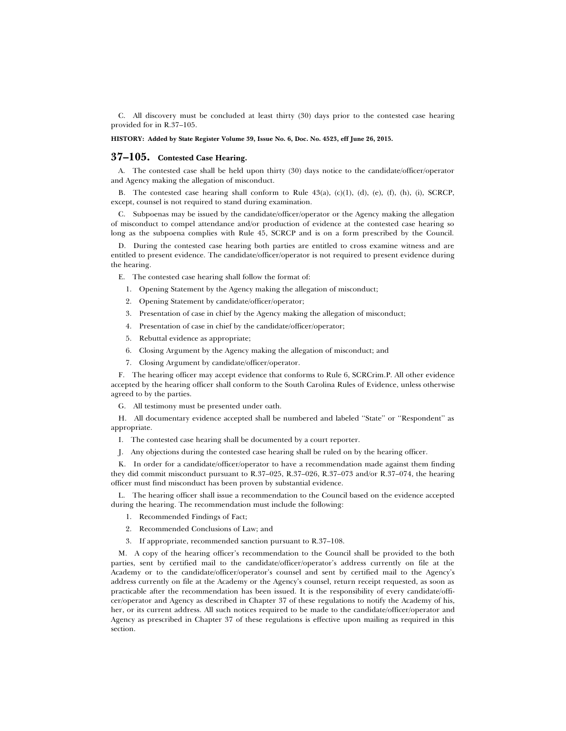C. All discovery must be concluded at least thirty (30) days prior to the contested case hearing provided for in R.37–105.

#### **HISTORY: Added by State Register Volume 39, Issue No. 6, Doc. No. 4523, eff June 26, 2015.**

# **37–105. Contested Case Hearing.**

A. The contested case shall be held upon thirty (30) days notice to the candidate/officer/operator and Agency making the allegation of misconduct.

B. The contested case hearing shall conform to Rule  $43(a)$ ,  $(c)(1)$ ,  $(d)$ ,  $(e)$ ,  $(f)$ ,  $(h)$ ,  $(i)$ , SCRCP, except, counsel is not required to stand during examination.

C. Subpoenas may be issued by the candidate/officer/operator or the Agency making the allegation of misconduct to compel attendance and/or production of evidence at the contested case hearing so long as the subpoena complies with Rule 45, SCRCP and is on a form prescribed by the Council.

D. During the contested case hearing both parties are entitled to cross examine witness and are entitled to present evidence. The candidate/officer/operator is not required to present evidence during the hearing.

E. The contested case hearing shall follow the format of:

- 1. Opening Statement by the Agency making the allegation of misconduct;
- 2. Opening Statement by candidate/officer/operator;
- 3. Presentation of case in chief by the Agency making the allegation of misconduct;
- 4. Presentation of case in chief by the candidate/officer/operator;
- 5. Rebuttal evidence as appropriate;
- 6. Closing Argument by the Agency making the allegation of misconduct; and
- 7. Closing Argument by candidate/officer/operator.

F. The hearing officer may accept evidence that conforms to Rule 6, SCRCrim.P. All other evidence accepted by the hearing officer shall conform to the South Carolina Rules of Evidence, unless otherwise agreed to by the parties.

G. All testimony must be presented under oath.

H. All documentary evidence accepted shall be numbered and labeled ''State'' or ''Respondent'' as appropriate.

I. The contested case hearing shall be documented by a court reporter.

J. Any objections during the contested case hearing shall be ruled on by the hearing officer.

K. In order for a candidate/officer/operator to have a recommendation made against them finding they did commit misconduct pursuant to R.37–025, R.37–026, R.37–073 and/or R.37–074, the hearing officer must find misconduct has been proven by substantial evidence.

L. The hearing officer shall issue a recommendation to the Council based on the evidence accepted during the hearing. The recommendation must include the following:

- 1. Recommended Findings of Fact;
- 2. Recommended Conclusions of Law; and
- 3. If appropriate, recommended sanction pursuant to R.37–108.

M. A copy of the hearing officer's recommendation to the Council shall be provided to the both parties, sent by certified mail to the candidate/officer/operator's address currently on file at the Academy or to the candidate/officer/operator's counsel and sent by certified mail to the Agency's address currently on file at the Academy or the Agency's counsel, return receipt requested, as soon as practicable after the recommendation has been issued. It is the responsibility of every candidate/officer/operator and Agency as described in Chapter 37 of these regulations to notify the Academy of his, her, or its current address. All such notices required to be made to the candidate/officer/operator and Agency as prescribed in Chapter 37 of these regulations is effective upon mailing as required in this section.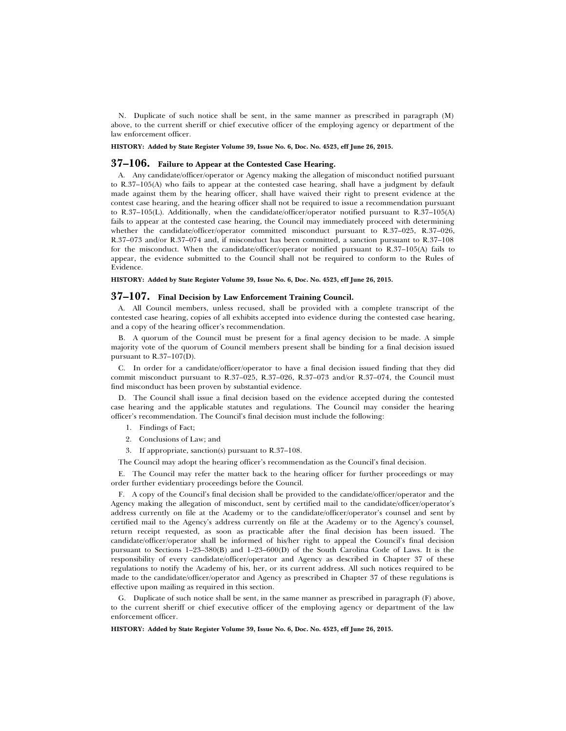N. Duplicate of such notice shall be sent, in the same manner as prescribed in paragraph (M) above, to the current sheriff or chief executive officer of the employing agency or department of the law enforcement officer.

#### **HISTORY: Added by State Register Volume 39, Issue No. 6, Doc. No. 4523, eff June 26, 2015.**

#### **37–106. Failure to Appear at the Contested Case Hearing.**

A. Any candidate/officer/operator or Agency making the allegation of misconduct notified pursuant to R.37–105(A) who fails to appear at the contested case hearing, shall have a judgment by default made against them by the hearing officer, shall have waived their right to present evidence at the contest case hearing, and the hearing officer shall not be required to issue a recommendation pursuant to R.37–105(L). Additionally, when the candidate/officer/operator notified pursuant to R.37–105(A) fails to appear at the contested case hearing, the Council may immediately proceed with determining whether the candidate/officer/operator committed misconduct pursuant to R.37–025, R.37–026, R.37–073 and/or R.37–074 and, if misconduct has been committed, a sanction pursuant to R.37–108 for the misconduct. When the candidate/officer/operator notified pursuant to R.37–105(A) fails to appear, the evidence submitted to the Council shall not be required to conform to the Rules of Evidence.

**HISTORY: Added by State Register Volume 39, Issue No. 6, Doc. No. 4523, eff June 26, 2015.**

#### **37–107. Final Decision by Law Enforcement Training Council.**

A. All Council members, unless recused, shall be provided with a complete transcript of the contested case hearing, copies of all exhibits accepted into evidence during the contested case hearing, and a copy of the hearing officer's recommendation.

B. A quorum of the Council must be present for a final agency decision to be made. A simple majority vote of the quorum of Council members present shall be binding for a final decision issued pursuant to R.37–107(D).

C. In order for a candidate/officer/operator to have a final decision issued finding that they did commit misconduct pursuant to R.37–025, R.37–026, R.37–073 and/or R.37–074, the Council must find misconduct has been proven by substantial evidence.

D. The Council shall issue a final decision based on the evidence accepted during the contested case hearing and the applicable statutes and regulations. The Council may consider the hearing officer's recommendation. The Council's final decision must include the following:

- 1. Findings of Fact;
- 2. Conclusions of Law; and
- 3. If appropriate, sanction(s) pursuant to R.37–108.

The Council may adopt the hearing officer's recommendation as the Council's final decision.

E. The Council may refer the matter back to the hearing officer for further proceedings or may order further evidentiary proceedings before the Council.

F. A copy of the Council's final decision shall be provided to the candidate/officer/operator and the Agency making the allegation of misconduct, sent by certified mail to the candidate/officer/operator's address currently on file at the Academy or to the candidate/officer/operator's counsel and sent by certified mail to the Agency's address currently on file at the Academy or to the Agency's counsel, return receipt requested, as soon as practicable after the final decision has been issued. The candidate/officer/operator shall be informed of his/her right to appeal the Council's final decision pursuant to Sections 1–23–380(B) and 1–23–600(D) of the South Carolina Code of Laws. It is the responsibility of every candidate/officer/operator and Agency as described in Chapter 37 of these regulations to notify the Academy of his, her, or its current address. All such notices required to be made to the candidate/officer/operator and Agency as prescribed in Chapter 37 of these regulations is effective upon mailing as required in this section.

G. Duplicate of such notice shall be sent, in the same manner as prescribed in paragraph (F) above, to the current sheriff or chief executive officer of the employing agency or department of the law enforcement officer.

#### **HISTORY: Added by State Register Volume 39, Issue No. 6, Doc. No. 4523, eff June 26, 2015.**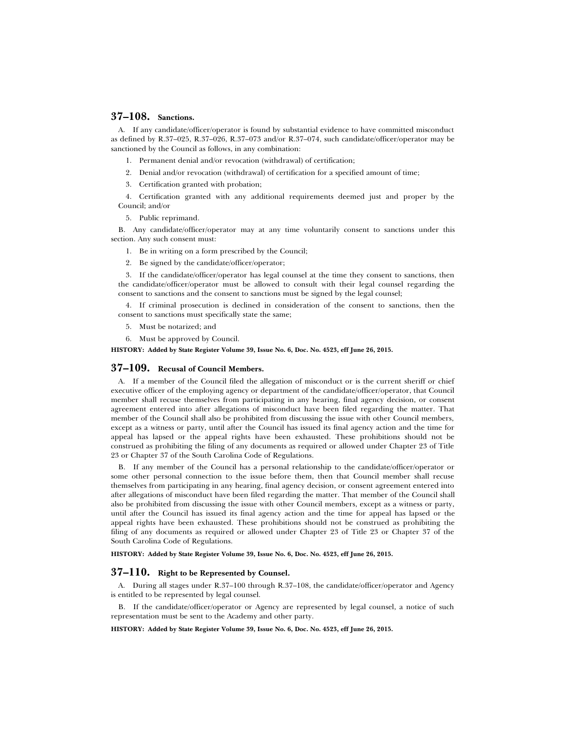# **37–108. Sanctions.**

A. If any candidate/officer/operator is found by substantial evidence to have committed misconduct as defined by R.37–025, R.37–026, R.37–073 and/or R.37–074, such candidate/officer/operator may be sanctioned by the Council as follows, in any combination:

1. Permanent denial and/or revocation (withdrawal) of certification;

- 2. Denial and/or revocation (withdrawal) of certification for a specified amount of time;
- 3. Certification granted with probation;

4. Certification granted with any additional requirements deemed just and proper by the Council; and/or

5. Public reprimand.

B. Any candidate/officer/operator may at any time voluntarily consent to sanctions under this section. Any such consent must:

- 1. Be in writing on a form prescribed by the Council;
- 2. Be signed by the candidate/officer/operator;

3. If the candidate/officer/operator has legal counsel at the time they consent to sanctions, then the candidate/officer/operator must be allowed to consult with their legal counsel regarding the consent to sanctions and the consent to sanctions must be signed by the legal counsel;

4. If criminal prosecution is declined in consideration of the consent to sanctions, then the consent to sanctions must specifically state the same;

5. Must be notarized; and

6. Must be approved by Council.

**HISTORY: Added by State Register Volume 39, Issue No. 6, Doc. No. 4523, eff June 26, 2015.**

# **37–109. Recusal of Council Members.**

A. If a member of the Council filed the allegation of misconduct or is the current sheriff or chief executive officer of the employing agency or department of the candidate/officer/operator, that Council member shall recuse themselves from participating in any hearing, final agency decision, or consent agreement entered into after allegations of misconduct have been filed regarding the matter. That member of the Council shall also be prohibited from discussing the issue with other Council members, except as a witness or party, until after the Council has issued its final agency action and the time for appeal has lapsed or the appeal rights have been exhausted. These prohibitions should not be construed as prohibiting the filing of any documents as required or allowed under Chapter 23 of Title 23 or Chapter 37 of the South Carolina Code of Regulations.

B. If any member of the Council has a personal relationship to the candidate/officer/operator or some other personal connection to the issue before them, then that Council member shall recuse themselves from participating in any hearing, final agency decision, or consent agreement entered into after allegations of misconduct have been filed regarding the matter. That member of the Council shall also be prohibited from discussing the issue with other Council members, except as a witness or party, until after the Council has issued its final agency action and the time for appeal has lapsed or the appeal rights have been exhausted. These prohibitions should not be construed as prohibiting the filing of any documents as required or allowed under Chapter 23 of Title 23 or Chapter 37 of the South Carolina Code of Regulations.

**HISTORY: Added by State Register Volume 39, Issue No. 6, Doc. No. 4523, eff June 26, 2015.**

#### **37–110. Right to be Represented by Counsel.**

A. During all stages under R.37–100 through R.37–108, the candidate/officer/operator and Agency is entitled to be represented by legal counsel.

B. If the candidate/officer/operator or Agency are represented by legal counsel, a notice of such representation must be sent to the Academy and other party.

#### **HISTORY: Added by State Register Volume 39, Issue No. 6, Doc. No. 4523, eff June 26, 2015.**